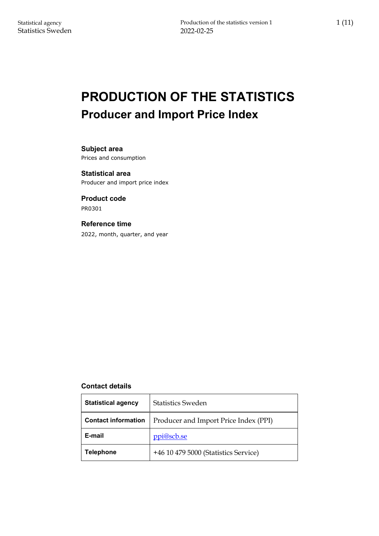# **PRODUCTION OF THE STATISTICS Producer and Import Price Index**

**Subject area** Prices and consumption

**Statistical area** Producer and import price index

**Product code** PR0301

#### **Reference time**

2022, month, quarter, and year

#### **Contact details**

| <b>Statistical agency</b>  | <b>Statistics Sweden</b>              |  |  |  |
|----------------------------|---------------------------------------|--|--|--|
| <b>Contact information</b> | Producer and Import Price Index (PPI) |  |  |  |
| E-mail                     | ppi@scb.se                            |  |  |  |
| <b>Telephone</b>           | +46 10 479 5000 (Statistics Service)  |  |  |  |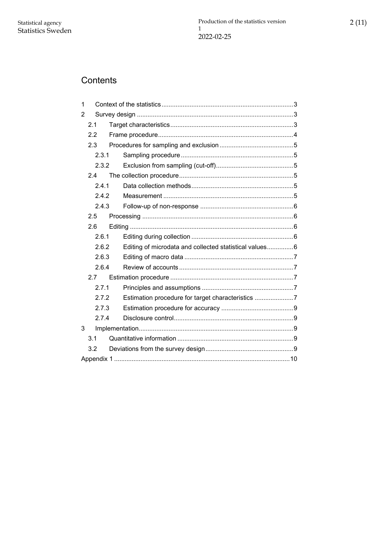## Contents

| 1 |       |                                                        |  |  |  |  |
|---|-------|--------------------------------------------------------|--|--|--|--|
| 2 |       |                                                        |  |  |  |  |
|   | 2.1   |                                                        |  |  |  |  |
|   | 2.2   |                                                        |  |  |  |  |
|   | 2.3   |                                                        |  |  |  |  |
|   | 2.3.1 |                                                        |  |  |  |  |
|   | 2.3.2 |                                                        |  |  |  |  |
|   | 2.4   |                                                        |  |  |  |  |
|   | 2.4.1 |                                                        |  |  |  |  |
|   | 2.4.2 |                                                        |  |  |  |  |
|   | 2.4.3 |                                                        |  |  |  |  |
|   | 2.5   |                                                        |  |  |  |  |
|   | 2.6   |                                                        |  |  |  |  |
|   | 2.6.1 |                                                        |  |  |  |  |
|   | 2.6.2 | Editing of microdata and collected statistical values6 |  |  |  |  |
|   | 2.6.3 |                                                        |  |  |  |  |
|   | 2.6.4 |                                                        |  |  |  |  |
|   | 2.7   |                                                        |  |  |  |  |
|   | 2.7.1 |                                                        |  |  |  |  |
|   | 2.7.2 | Estimation procedure for target characteristics 7      |  |  |  |  |
|   | 2.7.3 |                                                        |  |  |  |  |
|   | 2.7.4 |                                                        |  |  |  |  |
| 3 |       |                                                        |  |  |  |  |
|   | 3.1   |                                                        |  |  |  |  |
|   | 3.2   |                                                        |  |  |  |  |
|   |       |                                                        |  |  |  |  |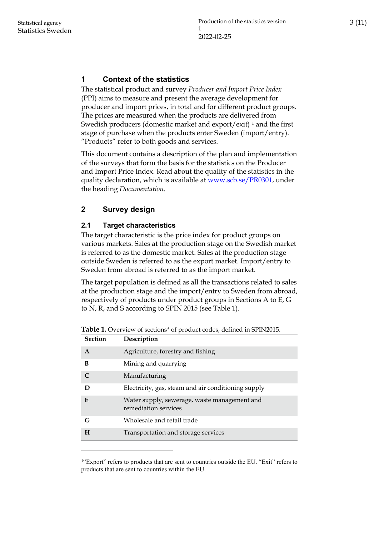## <span id="page-2-0"></span>**1 Context of the statistics**

The statistical product and survey *Producer and Import Price Index* (PPI) aims to measure and present the average development for producer and import prices, in total and for different product groups. The prices are measured when the products are delivered from Swedish producers (domestic market and export/exit)<sup>[1](#page-2-3)</sup> and the first stage of purchase when the products enter Sweden (import/entry). "Products" refer to both goods and services.

This document contains a description of the plan and implementation of the surveys that form the basis for the statistics on the Producer and Import Price Index. Read about the quality of the statistics in the quality declaration, which is available at [www.scb.se/PR0301,](http://www.scb.se/PR0301) under the heading *Documentation*.

## <span id="page-2-1"></span>**2 Survey design**

### <span id="page-2-2"></span>**2.1 Target characteristics**

The target characteristic is the price index for product groups on various markets. Sales at the production stage on the Swedish market is referred to as the domestic market. Sales at the production stage outside Sweden is referred to as the export market. Import/entry to Sweden from abroad is referred to as the import market.

The target population is defined as all the transactions related to sales at the production stage and the import/entry to Sweden from abroad, respectively of products under product groups in Sections A to E, G to N, R, and S according to SPIN 2015 (see Table 1).

| <b>Section</b> | Description                                                          |
|----------------|----------------------------------------------------------------------|
| A              | Agriculture, forestry and fishing                                    |
| B              | Mining and quarrying                                                 |
| $\mathcal C$   | Manufacturing                                                        |
| D              | Electricity, gas, steam and air conditioning supply                  |
| E              | Water supply, sewerage, waste management and<br>remediation services |
| G              | Wholesale and retail trade                                           |
| H              | Transportation and storage services                                  |

**Table 1.** Overview of sections\* of product codes, defined in SPIN2015.

<span id="page-2-3"></span><sup>&</sup>lt;sup>1</sup>"Export" refers to products that are sent to countries outside the EU. "Exit" refers to products that are sent to countries within the EU.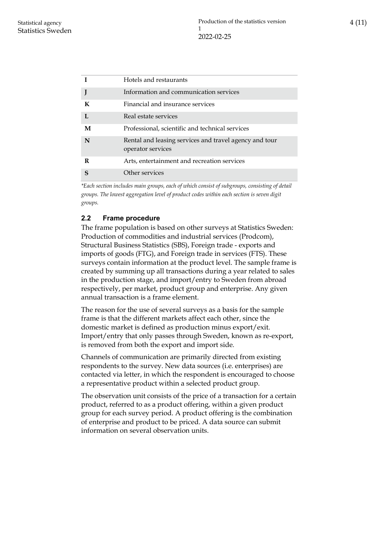| I<br>Hotels and restaurants<br>Information and communication services<br>J<br>Financial and insurance services<br>K<br>$\mathbf{I}$ .<br>Real estate services<br>M<br>Professional, scientific and technical services<br>N<br>Rental and leasing services and travel agency and tour<br>operator services<br>Arts, entertainment and recreation services<br>R<br>Other services<br>$\mathbf S$ |  |
|------------------------------------------------------------------------------------------------------------------------------------------------------------------------------------------------------------------------------------------------------------------------------------------------------------------------------------------------------------------------------------------------|--|
|                                                                                                                                                                                                                                                                                                                                                                                                |  |
|                                                                                                                                                                                                                                                                                                                                                                                                |  |
|                                                                                                                                                                                                                                                                                                                                                                                                |  |
|                                                                                                                                                                                                                                                                                                                                                                                                |  |
|                                                                                                                                                                                                                                                                                                                                                                                                |  |
|                                                                                                                                                                                                                                                                                                                                                                                                |  |
|                                                                                                                                                                                                                                                                                                                                                                                                |  |
|                                                                                                                                                                                                                                                                                                                                                                                                |  |

*\*Each section includes main groups, each of which consist of subgroups, consisting of detail groups. The lowest aggregation level of product codes within each section is seven digit groups.*

### <span id="page-3-0"></span>**2.2 Frame procedure**

The frame population is based on other surveys at Statistics Sweden: Production of commodities and industrial services (Prodcom), Structural Business Statistics (SBS), Foreign trade - exports and imports of goods (FTG), and Foreign trade in services (FTS). These surveys contain information at the product level. The sample frame is created by summing up all transactions during a year related to sales in the production stage, and import/entry to Sweden from abroad respectively, per market, product group and enterprise. Any given annual transaction is a frame element.

The reason for the use of several surveys as a basis for the sample frame is that the different markets affect each other, since the domestic market is defined as production minus export/exit. Import/entry that only passes through Sweden, known as re-export, is removed from both the export and import side.

Channels of communication are primarily directed from existing respondents to the survey. New data sources (i.e. enterprises) are contacted via letter, in which the respondent is encouraged to choose a representative product within a selected product group.

The observation unit consists of the price of a transaction for a certain product, referred to as a product offering, within a given product group for each survey period. A product offering is the combination of enterprise and product to be priced. A data source can submit information on several observation units.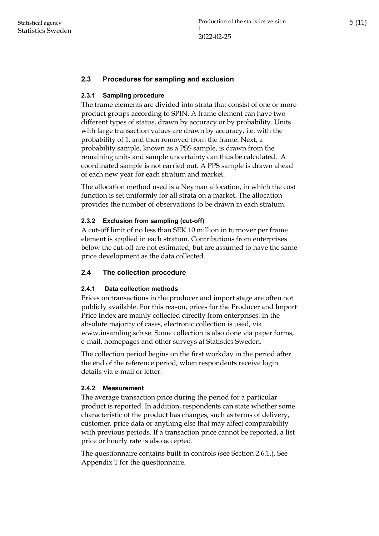### <span id="page-4-0"></span>**2.3 Procedures for sampling and exclusion**

#### <span id="page-4-1"></span>**2.3.1 Sampling procedure**

The frame elements are divided into strata that consist of one or more product groups according to SPIN. A frame element can have two different types of status, drawn by accuracy or by probability. Units with large transaction values are drawn by accuracy, i.e. with the probability of 1, and then removed from the frame. Next, a probability sample, known as a PSS sample, is drawn from the remaining units and sample uncertainty can thus be calculated. A coordinated sample is not carried out. A PPS sample is drawn ahead of each new year for each stratum and market.

The allocation method used is a Neyman allocation, in which the cost function is set uniformly for all strata on a market. The allocation provides the number of observations to be drawn in each stratum.

#### <span id="page-4-2"></span>**2.3.2 Exclusion from sampling (cut-off)**

A cut-off limit of no less than SEK 10 million in turnover per frame element is applied in each stratum. Contributions from enterprises below the cut-off are not estimated, but are assumed to have the same price development as the data collected.

#### <span id="page-4-3"></span>**2.4 The collection procedure**

#### <span id="page-4-4"></span>**2.4.1 Data collection methods**

Prices on transactions in the producer and import stage are often not publicly available. For this reason, prices for the Producer and Import Price Index are mainly collected directly from enterprises. In the absolute majority of cases, electronic collection is used, via www.insamling.scb.se. Some collection is also done via paper forms, e-mail, homepages and other surveys at Statistics Sweden.

The collection period begins on the first workday in the period after the end of the reference period, when respondents receive login details via e-mail or letter.

#### <span id="page-4-5"></span>**2.4.2 Measurement**

The average transaction price during the period for a particular product is reported. In addition, respondents can state whether some characteristic of the product has changes, such as terms of delivery, customer, price data or anything else that may affect comparability with previous periods. If a transaction price cannot be reported, a list price or hourly rate is also accepted.

The questionnaire contains built-in controls (see Section 2.6.1.). See Appendix 1 for the questionnaire.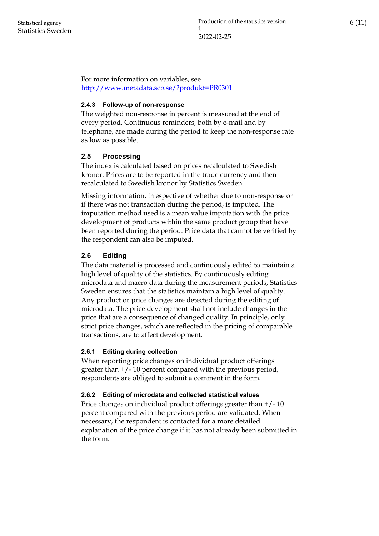For more information on variables, see <http://www.metadata.scb.se/?produkt=PR0301>

#### <span id="page-5-0"></span>**2.4.3 Follow-up of non-response**

The weighted non-response in percent is measured at the end of every period. Continuous reminders, both by e-mail and by telephone, are made during the period to keep the non-response rate as low as possible.

#### <span id="page-5-1"></span>**2.5 Processing**

The index is calculated based on prices recalculated to Swedish kronor. Prices are to be reported in the trade currency and then recalculated to Swedish kronor by Statistics Sweden.

Missing information, irrespective of whether due to non-response or if there was not transaction during the period, is imputed. The imputation method used is a mean value imputation with the price development of products within the same product group that have been reported during the period. Price data that cannot be verified by the respondent can also be imputed.

#### <span id="page-5-2"></span>**2.6 Editing**

The data material is processed and continuously edited to maintain a high level of quality of the statistics. By continuously editing microdata and macro data during the measurement periods, Statistics Sweden ensures that the statistics maintain a high level of quality. Any product or price changes are detected during the editing of microdata. The price development shall not include changes in the price that are a consequence of changed quality. In principle, only strict price changes, which are reflected in the pricing of comparable transactions, are to affect development.

#### <span id="page-5-3"></span>**2.6.1 Editing during collection**

When reporting price changes on individual product offerings greater than +/- 10 percent compared with the previous period, respondents are obliged to submit a comment in the form.

#### <span id="page-5-4"></span>**2.6.2 Editing of microdata and collected statistical values**

Price changes on individual product offerings greater than +/- 10 percent compared with the previous period are validated. When necessary, the respondent is contacted for a more detailed explanation of the price change if it has not already been submitted in the form.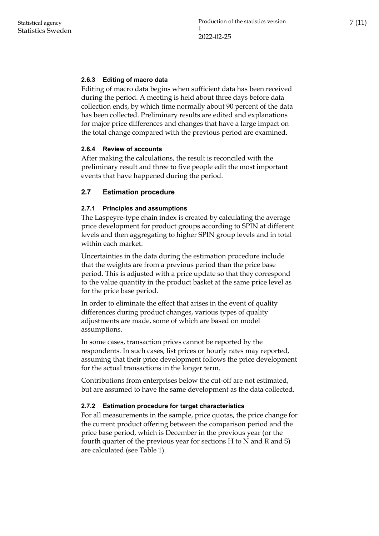#### <span id="page-6-0"></span>**2.6.3 Editing of macro data**

Editing of macro data begins when sufficient data has been received during the period. A meeting is held about three days before data collection ends, by which time normally about 90 percent of the data has been collected. Preliminary results are edited and explanations for major price differences and changes that have a large impact on the total change compared with the previous period are examined.

#### <span id="page-6-1"></span>**2.6.4 Review of accounts**

After making the calculations, the result is reconciled with the preliminary result and three to five people edit the most important events that have happened during the period.

#### <span id="page-6-2"></span>**2.7 Estimation procedure**

#### <span id="page-6-3"></span>**2.7.1 Principles and assumptions**

The Laspeyre-type chain index is created by calculating the average price development for product groups according to SPIN at different levels and then aggregating to higher SPIN group levels and in total within each market.

Uncertainties in the data during the estimation procedure include that the weights are from a previous period than the price base period. This is adjusted with a price update so that they correspond to the value quantity in the product basket at the same price level as for the price base period.

In order to eliminate the effect that arises in the event of quality differences during product changes, various types of quality adjustments are made, some of which are based on model assumptions.

In some cases, transaction prices cannot be reported by the respondents. In such cases, list prices or hourly rates may reported, assuming that their price development follows the price development for the actual transactions in the longer term.

Contributions from enterprises below the cut-off are not estimated, but are assumed to have the same development as the data collected.

#### <span id="page-6-4"></span>**2.7.2 Estimation procedure for target characteristics**

For all measurements in the sample, price quotas, the price change for the current product offering between the comparison period and the price base period, which is December in the previous year (or the fourth quarter of the previous year for sections H to N and R and S) are calculated (see Table 1).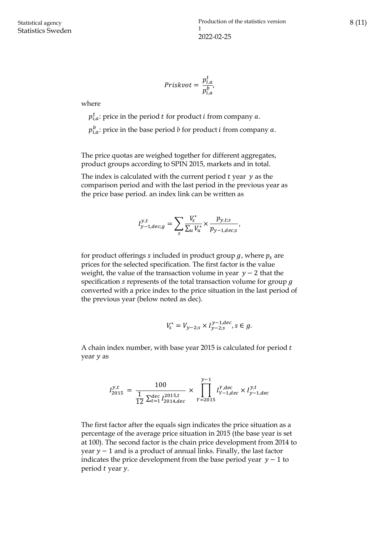$$
Priskvot = \frac{p_{i,a}^t}{p_{i,a}^b},
$$

 $\mathbf{r}$ 

where

 $p_{i,a}^t$ : price in the period  $t$  for product  $i$  from company  $a$ .

 $p_{i,a}^b$ : price in the base period  $b$  for product  $i$  from company  $a$ .

The price quotas are weighed together for different aggregates, product groups according to SPIN 2015, markets and in total.

The index is calculated with the current period  $t$  year  $y$  as the comparison period and with the last period in the previous year as the price base period. an index link can be written as

$$
I_{y-1,dec;g}^{y,t} = \sum_{s} \frac{V_s^*}{\sum_{u} V_u^*} \times \frac{p_{y,t;s}}{p_{y-1,dec;s}},
$$

for product offerings s included in product group  $g$ , where  $p_s$  are prices for the selected specification. The first factor is the value weight, the value of the transaction volume in year  $y - 2$  that the specification s represents of the total transaction volume for group  $g$ converted with a price index to the price situation in the last period of the previous year (below noted as dec).

$$
V_s^* = V_{y-2;s} \times I_{y-2;s}^{y-1,dec}, s \in g.
$$

A chain index number, with base year 2015 is calculated for period year y as

$$
I_{2015}^{y,t} = \frac{100}{\frac{1}{12} \sum_{t=1}^{dec} I_{2014,dec}^{2015,t}} \times \prod_{Y=2015}^{y-1} I_{Y-1,dec}^{Y,dec} \times I_{y-1,dec}^{y,t}
$$

The first factor after the equals sign indicates the price situation as a percentage of the average price situation in 2015 (the base year is set at 100). The second factor is the chain price development from 2014 to year  $y - 1$  and is a product of annual links. Finally, the last factor indicates the price development from the base period year  $y - 1$  to period *t* year *y*.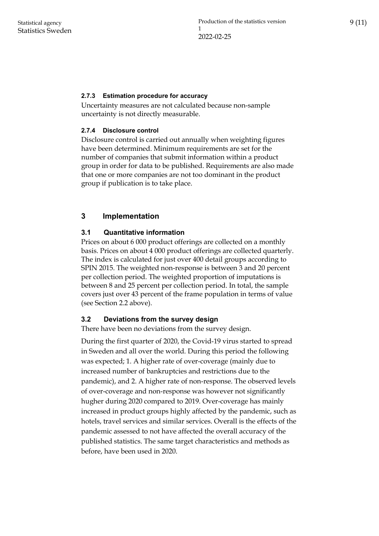#### <span id="page-8-0"></span>**2.7.3 Estimation procedure for accuracy**

Uncertainty measures are not calculated because non-sample uncertainty is not directly measurable.

#### <span id="page-8-1"></span>**2.7.4 Disclosure control**

Disclosure control is carried out annually when weighting figures have been determined. Minimum requirements are set for the number of companies that submit information within a product group in order for data to be published. Requirements are also made that one or more companies are not too dominant in the product group if publication is to take place.

### <span id="page-8-2"></span>**3 Implementation**

#### <span id="page-8-3"></span>**3.1 Quantitative information**

Prices on about 6 000 product offerings are collected on a monthly basis. Prices on about 4 000 product offerings are collected quarterly. The index is calculated for just over 400 detail groups according to SPIN 2015. The weighted non-response is between 3 and 20 percent per collection period. The weighted proportion of imputations is between 8 and 25 percent per collection period. In total, the sample covers just over 43 percent of the frame population in terms of value (see Section 2.2 above).

#### <span id="page-8-4"></span>**3.2 Deviations from the survey design**

There have been no deviations from the survey design.

During the first quarter of 2020, the Covid-19 virus started to spread in Sweden and all over the world. During this period the following was expected; 1. A higher rate of over-coverage (mainly due to increased number of bankruptcies and restrictions due to the pandemic), and 2. A higher rate of non-response. The observed levels of over-coverage and non-response was however not significantly hugher during 2020 compared to 2019. Over-coverage has mainly increased in product groups highly affected by the pandemic, such as hotels, travel services and similar services. Overall is the effects of the pandemic assessed to not have affected the overall accuracy of the published statistics. The same target characteristics and methods as before, have been used in 2020.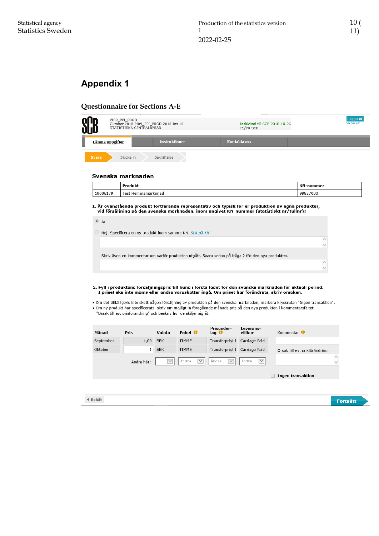## <span id="page-9-0"></span>**Appendix 1**

#### **Questionnaire for Sections A-E**

|              | PI09 PPI PROD<br>Oktober 2018 PI09_PPI_PROD 2018 Ins 10<br>STATISTISKA CENTRALBYRÅN |                      | Inskickad till SCB 2018-10-26<br>ES/PR SCB | Logga ut<br>Skriv ut |
|--------------|-------------------------------------------------------------------------------------|----------------------|--------------------------------------------|----------------------|
|              | Lämna uppgifter                                                                     | <b>Instruktioner</b> | Kontakta oss                               |                      |
| <b>Svara</b> | Skicka in                                                                           | Bekräftelse          |                                            |                      |

#### Svenska marknaden

|          | Produkt               | $\mathbf{r}$<br>ımmer<br>w |  |
|----------|-----------------------|----------------------------|--|
| 10006179 | Test<br>Hemmamarknnad | 99937000                   |  |

1. Är ovanstående produkt fortfarande representativ och typisk för er produktion av egna produkter,<br>1. vid försäljning på den svenska marknaden, inom angivet KN-nummer (statistiskt nr/tullnr)?

| $@$ Ja |                                                                                                   |  |
|--------|---------------------------------------------------------------------------------------------------|--|
|        | $\circ$ Nej. Specificera en ny produkt inom samma KN. Sök på KN                                   |  |
|        |                                                                                                   |  |
|        |                                                                                                   |  |
|        | Skriv även en kommentar om varför produkten utgått. Svara sedan på fråga 2 för den nya produkten. |  |
|        |                                                                                                   |  |
|        |                                                                                                   |  |
|        |                                                                                                   |  |

#### 2. Fyll i produktens försäljningspris till kund i första ledet för den svenska marknaden för aktuell period. I priset ska inte moms eller andra varuskatter ingå. Om priset har förändrats, skriv orsaken.

• Om det tillfälligtvis inte skett någon försäljning av produkten på den svenska marknaden, markera kryssrutan "Ingen transaktion".<br>• Om ny produkt har specificerats, skriv om möjligt in föregående månads pris på den nya p "Orsak till ev. prisförändring" och beskriv hur de skiljer sig åt.

| Månad     | <b>Pris</b> | Valuta       | Enhet 0               | Prisunder-<br>$I_{\mathbf{a}\mathbf{q}}$ $\mathbf{\Theta}$ | Leverans-<br>villkor  | Kommentar 0                   |
|-----------|-------------|--------------|-----------------------|------------------------------------------------------------|-----------------------|-------------------------------|
| September | 1,00        | <b>SEK</b>   | <b>TIMME</b>          | Transferpris/ 1                                            | Carriage Paid         |                               |
| Oktober   | 1           | <b>SEK</b>   | <b>TIMME</b>          | Transferpris/ 1                                            | Carriage Paid         | Orsak till ev. prisförändring |
|           | Ändra här:  | $\checkmark$ | Ändra<br>$\checkmark$ | Ändra<br>$\checkmark$                                      | Ändra<br>$\checkmark$ |                               |
|           |             |              |                       |                                                            |                       | Ingen transaktion             |
|           |             |              |                       |                                                            |                       |                               |
|           |             |              |                       |                                                            |                       |                               |
| ◀ Bakåt   |             |              |                       |                                                            |                       | <b>Fortsätt</b>               |